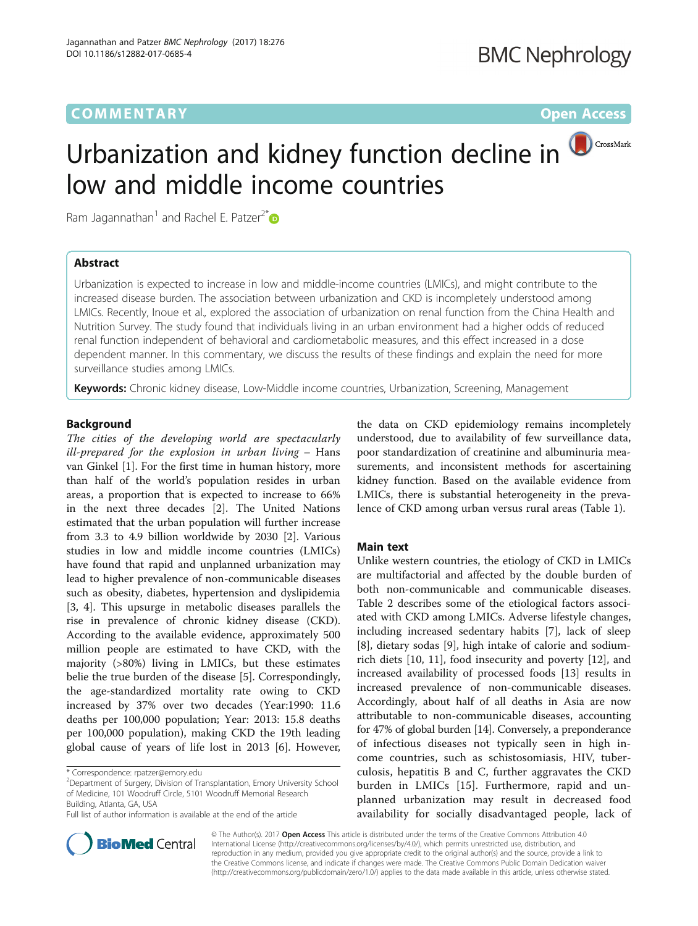# **COMMENTARY** COMMENTARY **COMMENTARY**

# Urbanization and kidney function decline in low and middle income countries

Ram Jagannathan<sup>1</sup> and Rachel E. Patzer<sup>2[\\*](http://orcid.org/0000-0003-2573-9963)</sup>

# Abstract

Urbanization is expected to increase in low and middle-income countries (LMICs), and might contribute to the increased disease burden. The association between urbanization and CKD is incompletely understood among LMICs. Recently, Inoue et al., explored the association of urbanization on renal function from the China Health and Nutrition Survey. The study found that individuals living in an urban environment had a higher odds of reduced renal function independent of behavioral and cardiometabolic measures, and this effect increased in a dose dependent manner. In this commentary, we discuss the results of these findings and explain the need for more surveillance studies among LMICs.

Keywords: Chronic kidney disease, Low-Middle income countries, Urbanization, Screening, Management

## Background

The cities of the developing world are spectacularly ill-prepared for the explosion in urban living – Hans van Ginkel [\[1](#page-2-0)]. For the first time in human history, more than half of the world's population resides in urban areas, a proportion that is expected to increase to 66% in the next three decades [\[2](#page-2-0)]. The United Nations estimated that the urban population will further increase from 3.3 to 4.9 billion worldwide by 2030 [[2\]](#page-2-0). Various studies in low and middle income countries (LMICs) have found that rapid and unplanned urbanization may lead to higher prevalence of non-communicable diseases such as obesity, diabetes, hypertension and dyslipidemia [[3, 4](#page-2-0)]. This upsurge in metabolic diseases parallels the rise in prevalence of chronic kidney disease (CKD). According to the available evidence, approximately 500 million people are estimated to have CKD, with the majority (>80%) living in LMICs, but these estimates belie the true burden of the disease [\[5](#page-2-0)]. Correspondingly, the age-standardized mortality rate owing to CKD increased by 37% over two decades (Year:1990: 11.6 deaths per 100,000 population; Year: 2013: 15.8 deaths per 100,000 population), making CKD the 19th leading global cause of years of life lost in 2013 [[6\]](#page-2-0). However,

<sup>2</sup>Department of Surgery, Division of Transplantation, Emory University School of Medicine, 101 Woodruff Circle, 5101 Woodruff Memorial Research Building, Atlanta, GA, USA

Full list of author information is available at the end of the article

the data on CKD epidemiology remains incompletely understood, due to availability of few surveillance data, poor standardization of creatinine and albuminuria measurements, and inconsistent methods for ascertaining kidney function. Based on the available evidence from LMICs, there is substantial heterogeneity in the prevalence of CKD among urban versus rural areas (Table [1\)](#page-1-0).

# Main text

Unlike western countries, the etiology of CKD in LMICs are multifactorial and affected by the double burden of both non-communicable and communicable diseases. Table [2](#page-1-0) describes some of the etiological factors associated with CKD among LMICs. Adverse lifestyle changes, including increased sedentary habits [\[7](#page-2-0)], lack of sleep [[8\]](#page-2-0), dietary sodas [[9](#page-2-0)], high intake of calorie and sodiumrich diets [\[10, 11](#page-2-0)], food insecurity and poverty [[12\]](#page-3-0), and increased availability of processed foods [[13\]](#page-3-0) results in increased prevalence of non-communicable diseases. Accordingly, about half of all deaths in Asia are now attributable to non-communicable diseases, accounting for 47% of global burden [[14](#page-3-0)]. Conversely, a preponderance of infectious diseases not typically seen in high income countries, such as schistosomiasis, HIV, tuberculosis, hepatitis B and C, further aggravates the CKD burden in LMICs [[15\]](#page-3-0). Furthermore, rapid and unplanned urbanization may result in decreased food availability for socially disadvantaged people, lack of



© The Author(s). 2017 **Open Access** This article is distributed under the terms of the Creative Commons Attribution 4.0 International License [\(http://creativecommons.org/licenses/by/4.0/](http://creativecommons.org/licenses/by/4.0/)), which permits unrestricted use, distribution, and reproduction in any medium, provided you give appropriate credit to the original author(s) and the source, provide a link to the Creative Commons license, and indicate if changes were made. The Creative Commons Public Domain Dedication waiver [\(http://creativecommons.org/publicdomain/zero/1.0/](http://creativecommons.org/publicdomain/zero/1.0/)) applies to the data made available in this article, unless otherwise stated.

<sup>\*</sup> Correspondence: [rpatzer@emory.edu](mailto:rpatzer@emory.edu) <sup>2</sup>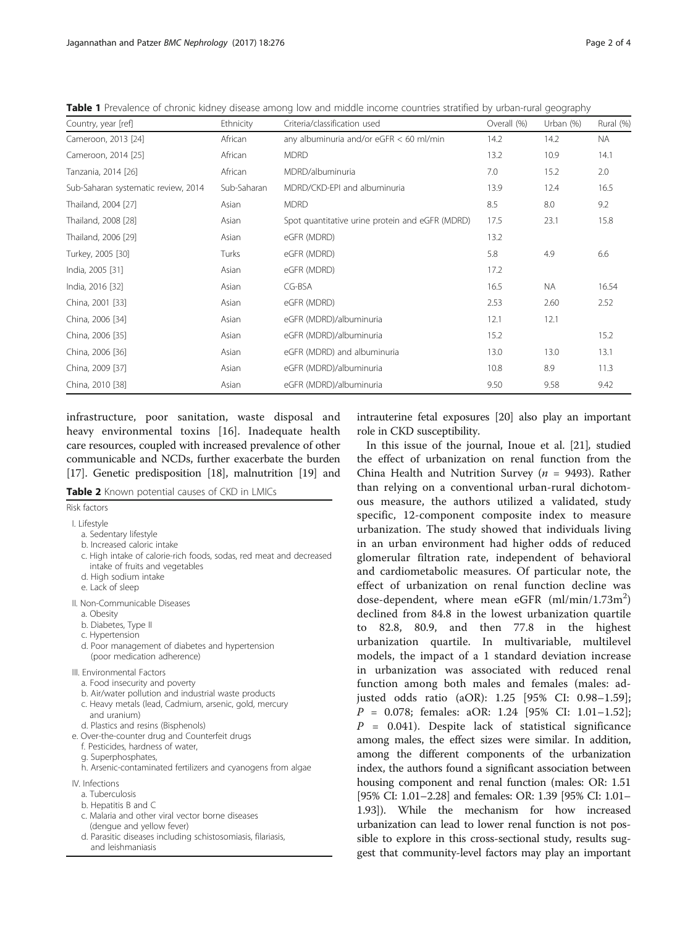| Country, year [ref]                 | Ethnicity   | Criteria/classification used                    | Overall (%) | Urban $(%)$ | Rural (%) |
|-------------------------------------|-------------|-------------------------------------------------|-------------|-------------|-----------|
| Cameroon, 2013 [24]                 | African     | any albuminuria and/or $eGFR < 60$ ml/min       | 14.2        | 14.2        | <b>NA</b> |
| Cameroon, 2014 [25]                 | African     | <b>MDRD</b>                                     | 13.2        | 10.9        | 14.1      |
| Tanzania, 2014 [26]                 | African     | MDRD/albuminuria                                | 7.0         | 15.2        | 2.0       |
| Sub-Saharan systematic review, 2014 | Sub-Saharan | MDRD/CKD-EPI and albuminuria                    | 13.9        | 12.4        | 16.5      |
| Thailand, 2004 [27]                 | Asian       | <b>MDRD</b>                                     | 8.5         | 8.0         | 9.2       |
| Thailand, 2008 [28]                 | Asian       | Spot quantitative urine protein and eGFR (MDRD) | 17.5        | 23.1        | 15.8      |
| Thailand, 2006 [29]                 | Asian       | eGFR (MDRD)                                     | 13.2        |             |           |
| Turkey, 2005 [30]                   | Turks       | eGFR (MDRD)                                     | 5.8         | 4.9         | 6.6       |
| India, 2005 [31]                    | Asian       | eGFR (MDRD)                                     | 17.2        |             |           |
| India, 2016 [32]                    | Asian       | CG-BSA                                          | 16.5        | <b>NA</b>   | 16.54     |
| China, 2001 [33]                    | Asian       | eGFR (MDRD)                                     | 2.53        | 2.60        | 2.52      |
| China, 2006 [34]                    | Asian       | eGFR (MDRD)/albuminuria                         | 12.1        | 12.1        |           |
| China, 2006 [35]                    | Asian       | eGFR (MDRD)/albuminuria                         | 15.2        |             | 15.2      |
| China, 2006 [36]                    | Asian       | eGFR (MDRD) and albuminuria                     | 13.0        | 13.0        | 13.1      |
| China, 2009 [37]                    | Asian       | eGFR (MDRD)/albuminuria                         | 10.8        | 8.9         | 11.3      |
| China, 2010 [38]                    | Asian       | eGFR (MDRD)/albuminuria                         | 9.50        | 9.58        | 9.42      |

<span id="page-1-0"></span>Table 1 Prevalence of chronic kidney disease among low and middle income countries stratified by urban-rural geography

infrastructure, poor sanitation, waste disposal and heavy environmental toxins [[16\]](#page-3-0). Inadequate health care resources, coupled with increased prevalence of other communicable and NCDs, further exacerbate the burden [[17](#page-3-0)]. Genetic predisposition [[18\]](#page-3-0), malnutrition [\[19\]](#page-3-0) and

Table 2 Known potential causes of CKD in LMICs

Risk factors

- I. Lifestyle
	- a. Sedentary lifestyle
	- b. Increased caloric intake
	- c. High intake of calorie-rich foods, sodas, red meat and decreased intake of fruits and vegetables
	- d. High sodium intake
	- e. Lack of sleep
- II. Non-Communicable Diseases
	- a. Obesity
	- b. Diabetes, Type II
	- c. Hypertension
	- d. Poor management of diabetes and hypertension (poor medication adherence)
- III. Environmental Factors
	- a. Food insecurity and poverty b. Air/water pollution and industrial waste products
	- c. Heavy metals (lead, Cadmium, arsenic, gold, mercury
	- and uranium)
	- d. Plastics and resins (Bisphenols)
- e. Over-the-counter drug and Counterfeit drugs
- f. Pesticides, hardness of water,
- g. Superphosphates,
- h. Arsenic-contaminated fertilizers and cyanogens from algae
- IV. Infections
	- a. Tuberculosis
	- b. Hepatitis B and C
	- c. Malaria and other viral vector borne diseases (dengue and yellow fever)
	- d. Parasitic diseases including schistosomiasis, filariasis, and leishmaniasis

intrauterine fetal exposures [[20](#page-3-0)] also play an important role in CKD susceptibility.

In this issue of the journal, Inoue et al. [[21](#page-3-0)], studied the effect of urbanization on renal function from the China Health and Nutrition Survey ( $n = 9493$ ). Rather than relying on a conventional urban-rural dichotomous measure, the authors utilized a validated, study specific, 12-component composite index to measure urbanization. The study showed that individuals living in an urban environment had higher odds of reduced glomerular filtration rate, independent of behavioral and cardiometabolic measures. Of particular note, the effect of urbanization on renal function decline was dose-dependent, where mean eGFR (ml/min/1.73m<sup>2</sup>) declined from 84.8 in the lowest urbanization quartile to 82.8, 80.9, and then 77.8 in the highest urbanization quartile. In multivariable, multilevel models, the impact of a 1 standard deviation increase in urbanization was associated with reduced renal function among both males and females (males: adjusted odds ratio (aOR): 1.25 [95% CI: 0.98–1.59];  $P = 0.078$ ; females: aOR: 1.24 [95% CI: 1.01-1.52];  $P = 0.041$ ). Despite lack of statistical significance among males, the effect sizes were similar. In addition, among the different components of the urbanization index, the authors found a significant association between housing component and renal function (males: OR: 1.51 [95% CI: 1.01–2.28] and females: OR: 1.39 [95% CI: 1.01– 1.93]). While the mechanism for how increased urbanization can lead to lower renal function is not possible to explore in this cross-sectional study, results suggest that community-level factors may play an important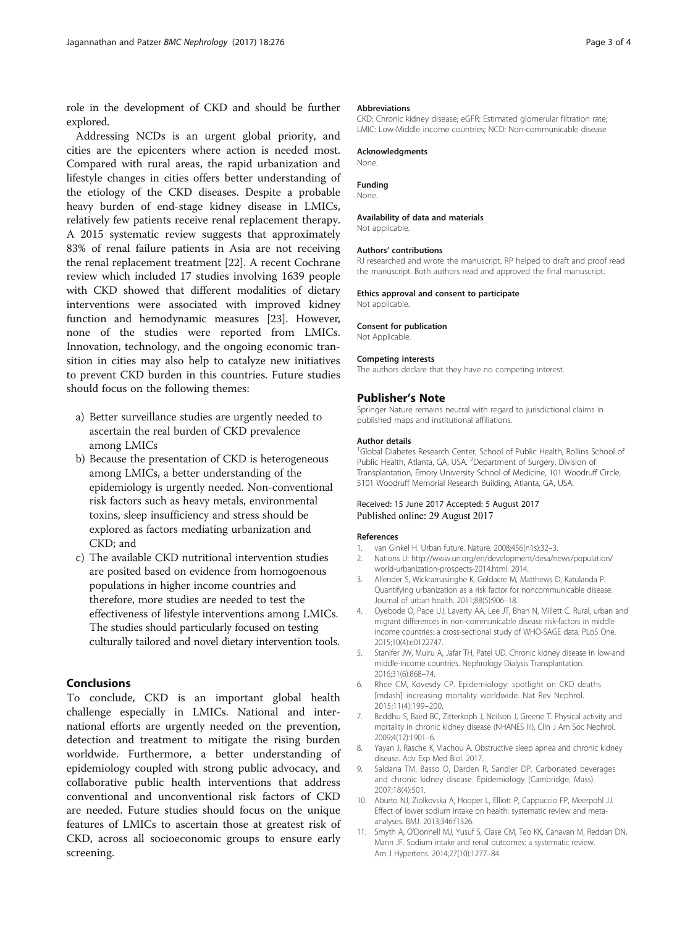<span id="page-2-0"></span>role in the development of CKD and should be further explored.

Addressing NCDs is an urgent global priority, and cities are the epicenters where action is needed most. Compared with rural areas, the rapid urbanization and lifestyle changes in cities offers better understanding of the etiology of the CKD diseases. Despite a probable heavy burden of end-stage kidney disease in LMICs, relatively few patients receive renal replacement therapy. A 2015 systematic review suggests that approximately 83% of renal failure patients in Asia are not receiving the renal replacement treatment [[22\]](#page-3-0). A recent Cochrane review which included 17 studies involving 1639 people with CKD showed that different modalities of dietary interventions were associated with improved kidney function and hemodynamic measures [[23\]](#page-3-0). However, none of the studies were reported from LMICs. Innovation, technology, and the ongoing economic transition in cities may also help to catalyze new initiatives to prevent CKD burden in this countries. Future studies should focus on the following themes:

- a) Better surveillance studies are urgently needed to ascertain the real burden of CKD prevalence among LMICs
- b) Because the presentation of CKD is heterogeneous among LMICs, a better understanding of the epidemiology is urgently needed. Non-conventional risk factors such as heavy metals, environmental toxins, sleep insufficiency and stress should be explored as factors mediating urbanization and CKD; and
- c) The available CKD nutritional intervention studies are posited based on evidence from homogoenous populations in higher income countries and therefore, more studies are needed to test the effectiveness of lifestyle interventions among LMICs. The studies should particularly focused on testing culturally tailored and novel dietary intervention tools.

# Conclusions

To conclude, CKD is an important global health challenge especially in LMICs. National and international efforts are urgently needed on the prevention, detection and treatment to mitigate the rising burden worldwide. Furthermore, a better understanding of epidemiology coupled with strong public advocacy, and collaborative public health interventions that address conventional and unconventional risk factors of CKD are needed. Future studies should focus on the unique features of LMICs to ascertain those at greatest risk of CKD, across all socioeconomic groups to ensure early screening.

#### Abbreviations

CKD: Chronic kidney disease; eGFR: Estimated glomerular filtration rate; LMIC: Low-Middle income countries; NCD: Non-communicable disease

#### Acknowledgments

None.

#### Funding

None.

## Availability of data and materials

Not applicable.

#### Authors' contributions

RJ researched and wrote the manuscript. RP helped to draft and proof read the manuscript. Both authors read and approved the final manuscript.

## Ethics approval and consent to participate

Not applicable.

## Consent for publication

Not Applicable.

#### Competing interests

The authors declare that they have no competing interest.

## Publisher's Note

Springer Nature remains neutral with regard to jurisdictional claims in published maps and institutional affiliations.

#### Author details

<sup>1</sup>Global Diabetes Research Center, School of Public Health, Rollins School of Public Health, Atlanta, GA, USA. <sup>2</sup>Department of Surgery, Division of Transplantation, Emory University School of Medicine, 101 Woodruff Circle, 5101 Woodruff Memorial Research Building, Atlanta, GA, USA.

#### Received: 15 June 2017 Accepted: 5 August 2017 Published online: 29 August 2017

#### References

- 1. van Ginkel H. Urban future. Nature. 2008;456(n1s):32–3.
- 2. Nations U: [http://www.un.org/en/development/desa/news/population/](http://www.un.org/en/development/desa/news/population/world-urbanization-prospects-2014.html) [world-urbanization-prospects-2014.html](http://www.un.org/en/development/desa/news/population/world-urbanization-prospects-2014.html). 2014.
- 3. Allender S, Wickramasinghe K, Goldacre M, Matthews D, Katulanda P. Quantifying urbanization as a risk factor for noncommunicable disease. Journal of urban health. 2011;88(5):906–18.
- 4. Oyebode O, Pape UJ, Laverty AA, Lee JT, Bhan N, Millett C. Rural, urban and migrant differences in non-communicable disease risk-factors in middle income countries: a cross-sectional study of WHO-SAGE data. PLoS One. 2015;10(4):e0122747.
- 5. Stanifer JW, Muiru A, Jafar TH, Patel UD. Chronic kidney disease in low-and middle-income countries. Nephrology Dialysis Transplantation. 2016;31(6):868–74.
- 6. Rhee CM, Kovesdy CP. Epidemiology: spotlight on CKD deaths [mdash] increasing mortality worldwide. Nat Rev Nephrol. 2015;11(4):199–200.
- 7. Beddhu S, Baird BC, Zitterkoph J, Neilson J, Greene T. Physical activity and mortality in chronic kidney disease (NHANES III). Clin J Am Soc Nephrol. 2009;4(12):1901–6.
- 8. Yayan J, Rasche K, Vlachou A. Obstructive sleep apnea and chronic kidney disease. Adv Exp Med Biol. 2017.
- 9. Saldana TM, Basso O, Darden R, Sandler DP. Carbonated beverages and chronic kidney disease. Epidemiology (Cambridge, Mass). 2007;18(4):501.
- 10. Aburto NJ, Ziolkovska A, Hooper L, Elliott P, Cappuccio FP, Meerpohl JJ. Effect of lower sodium intake on health: systematic review and metaanalyses. BMJ. 2013;346:f1326.
- 11. Smyth A, O'Donnell MJ, Yusuf S, Clase CM, Teo KK, Canavan M, Reddan DN, Mann JF. Sodium intake and renal outcomes: a systematic review. Am J Hypertens. 2014;27(10):1277–84.